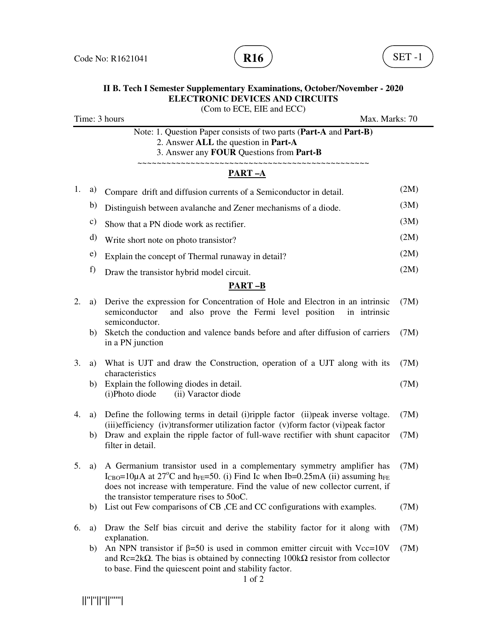

## **II B. Tech I Semester Supplementary Examinations, October/November - 2020 ELECTRONIC DEVICES AND CIRCUITS**  (Com to ECE, EIE and ECC) Time: 3 hours Max. Marks: 70 Note: 1. Question Paper consists of two parts (**Part-A** and **Part-B)** 2. Answer **ALL** the question in **Part-A** 3. Answer any **FOUR** Questions from **Part-B** ~~~~~~~~~~~~~~~~~~~~~~~~~~~~~~~~~~~~~~~~~~~~~~~~ **PART –A** 1. a) Compare drift and diffusion currents of a Semiconductor in detail. (2M) b) Distinguish between avalanche and Zener mechanisms of a diode. (3M) c) Show that a PN diode work as rectifier.  $(3M)$ d) Write short note on photo transistor? (2M) e) Explain the concept of Thermal runaway in detail? (2M) f) Draw the transistor hybrid model circuit. (2M) **PART –B** 2. a) Derive the expression for Concentration of Hole and Electron in an intrinsic semiconductor and also prove the Fermi level position in intrinsic semiconductor. (7M) b) Sketch the conduction and valence bands before and after diffusion of carriers in a PN junction (7M) 3. a) What is UJT and draw the Construction, operation of a UJT along with its characteristics (7M) b) Explain the following diodes in detail. (i)Photo diode (ii) Varactor diode (7M) 4. a) Define the following terms in detail (i)ripple factor (ii)peak inverse voltage. (iii)efficiency (iv)transformer utilization factor (v)form factor (vi)peak factor (7M) b) Draw and explain the ripple factor of full-wave rectifier with shunt capacitor filter in detail. (7M) 5. a) A Germanium transistor used in a complementary symmetry amplifier has I<sub>CBO</sub>=10µA at 27<sup>o</sup>C and h<sub>FE</sub>=50. (i) Find Ic when Ib=0.25mA (ii) assuming h<sub>FE</sub> does not increase with temperature. Find the value of new collector current, if the transistor temperature rises to 50oC. (7M) b) List out Few comparisons of CB ,CE and CC configurations with examples. (7M) 6. a) Draw the Self bias circuit and derive the stability factor for it along with explanation. (7M) b) An NPN transistor if  $\beta = 50$  is used in common emitter circuit with Vcc=10V and  $\text{Rc}=2k\Omega$ . The bias is obtained by connecting 100k $\Omega$  resistor from collector to base. Find the quiescent point and stability factor. (7M)

1 of 2